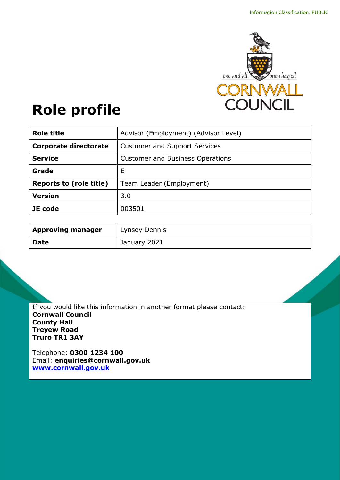

# **Role profile**

| <b>Role title</b>              | Advisor (Employment) (Advisor Level)    |
|--------------------------------|-----------------------------------------|
| <b>Corporate directorate</b>   | <b>Customer and Support Services</b>    |
| <b>Service</b>                 | <b>Customer and Business Operations</b> |
| Grade                          | Е                                       |
| <b>Reports to (role title)</b> | Team Leader (Employment)                |
| <b>Version</b>                 | 3.0                                     |
| JE code                        | 003501                                  |

| <b>Approving manager</b> | Lynsey Dennis |
|--------------------------|---------------|
| <b>Date</b>              | January 2021  |

If you would like this information in another format please contact: **Cornwall Council County Hall Treyew Road Truro TR1 3AY**

Telephone: **0300 1234 100** Email: **[enquiries@cornwall.gov.uk](mailto:enquiries@cornwall.gov.uk) [www.cornwall.gov.uk](http://www.cornwall.gov.uk/)**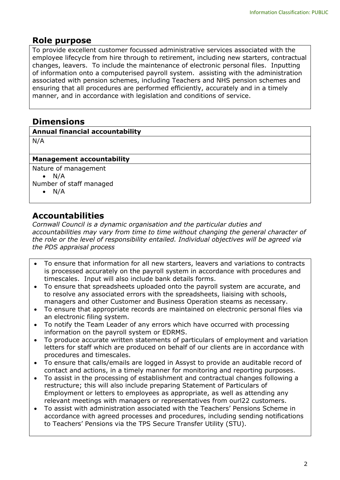# **Role purpose**

To provide excellent customer focussed administrative services associated with the employee lifecycle from hire through to retirement, including new starters, contractual changes, leavers. To include the maintenance of electronic personal files. Inputting of information onto a computerised payroll system. assisting with the administration associated with pension schemes, including Teachers and NHS pension schemes and ensuring that all procedures are performed efficiently, accurately and in a timely manner, and in accordance with legislation and conditions of service.

# **Dimensions**

N/A

## **Management accountability**

Nature of management  $\bullet$  N/A Number of staff managed

 $\bullet$  N/A

# **Accountabilities**

*Cornwall Council is a dynamic organisation and the particular duties and accountabilities may vary from time to time without changing the general character of the role or the level of responsibility entailed. Individual objectives will be agreed via the PDS appraisal process* 

- To ensure that information for all new starters, leavers and variations to contracts is processed accurately on the payroll system in accordance with procedures and timescales. Input will also include bank details forms.
- To ensure that spreadsheets uploaded onto the payroll system are accurate, and to resolve any associated errors with the spreadsheets, liaising with schools, managers and other Customer and Business Operation steams as necessary.
- To ensure that appropriate records are maintained on electronic personal files via an electronic filing system.
- To notify the Team Leader of any errors which have occurred with processing information on the payroll system or EDRMS.
- To produce accurate written statements of particulars of employment and variation letters for staff which are produced on behalf of our clients are in accordance with procedures and timescales.
- To ensure that calls/emails are logged in Assyst to provide an auditable record of contact and actions, in a timely manner for monitoring and reporting purposes.
- To assist in the processing of establishment and contractual changes following a restructure; this will also include preparing Statement of Particulars of Employment or letters to employees as appropriate, as well as attending any relevant meetings with managers or representatives from ourl22 customers.
- To assist with administration associated with the Teachers' Pensions Scheme in accordance with agreed processes and procedures, including sending notifications to Teachers' Pensions via the TPS Secure Transfer Utility (STU).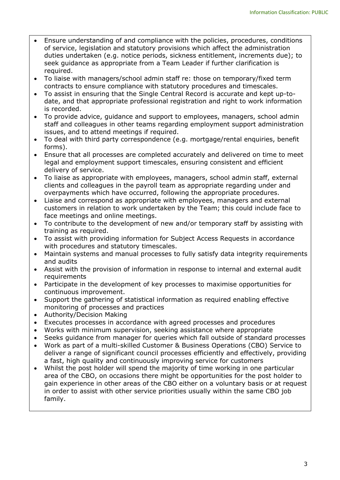- Ensure understanding of and compliance with the policies, procedures, conditions of service, legislation and statutory provisions which affect the administration duties undertaken (e.g. notice periods, sickness entitlement, increments due); to seek guidance as appropriate from a Team Leader if further clarification is required.
- To liaise with managers/school admin staff re: those on temporary/fixed term contracts to ensure compliance with statutory procedures and timescales.
- To assist in ensuring that the Single Central Record is accurate and kept up-todate, and that appropriate professional registration and right to work information is recorded.
- To provide advice, guidance and support to employees, managers, school admin staff and colleagues in other teams regarding employment support administration issues, and to attend meetings if required.
- To deal with third party correspondence (e.g. mortgage/rental enquiries, benefit forms).
- Ensure that all processes are completed accurately and delivered on time to meet legal and employment support timescales, ensuring consistent and efficient delivery of service.
- To liaise as appropriate with employees, managers, school admin staff, external clients and colleagues in the payroll team as appropriate regarding under and overpayments which have occurred, following the appropriate procedures.
- Liaise and correspond as appropriate with employees, managers and external customers in relation to work undertaken by the Team; this could include face to face meetings and online meetings.
- To contribute to the development of new and/or temporary staff by assisting with training as required.
- To assist with providing information for Subject Access Requests in accordance with procedures and statutory timescales.
- Maintain systems and manual processes to fully satisfy data integrity requirements and audits
- Assist with the provision of information in response to internal and external audit requirements
- Participate in the development of key processes to maximise opportunities for continuous improvement.
- Support the gathering of statistical information as required enabling effective monitoring of processes and practices
- Authority/Decision Making
- Executes processes in accordance with agreed processes and procedures
- Works with minimum supervision, seeking assistance where appropriate
- Seeks guidance from manager for queries which fall outside of standard processes
- Work as part of a multi-skilled Customer & Business Operations (CBO) Service to deliver a range of significant council processes efficiently and effectively, providing a fast, high quality and continuously improving service for customers
- Whilst the post holder will spend the majority of time working in one particular area of the CBO, on occasions there might be opportunities for the post holder to gain experience in other areas of the CBO either on a voluntary basis or at request in order to assist with other service priorities usually within the same CBO job family.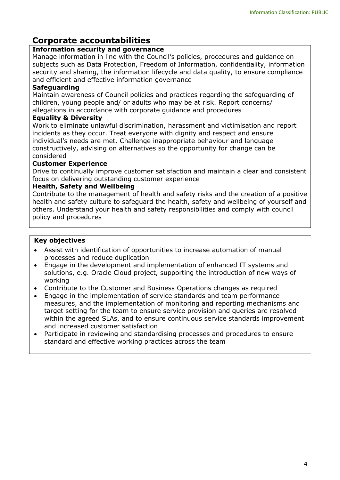# **Corporate accountabilities**

## **Information security and governance**

Manage information in line with the Council's policies, procedures and guidance on subjects such as Data Protection, Freedom of Information, confidentiality, information security and sharing, the information lifecycle and data quality, to ensure compliance and efficient and effective information governance

## **Safeguarding**

Maintain awareness of Council policies and practices regarding the safeguarding of children, young people and/ or adults who may be at risk. Report concerns/ allegations in accordance with corporate guidance and procedures

## **Equality & Diversity**

Work to eliminate unlawful discrimination, harassment and victimisation and report incidents as they occur. Treat everyone with dignity and respect and ensure individual's needs are met. Challenge inappropriate behaviour and language constructively, advising on alternatives so the opportunity for change can be considered

## **Customer Experience**

Drive to continually improve customer satisfaction and maintain a clear and consistent focus on delivering outstanding customer experience

## **Health, Safety and Wellbeing**

Contribute to the management of health and safety risks and the creation of a positive health and safety culture to safeguard the health, safety and wellbeing of yourself and others. Understand your health and safety responsibilities and comply with council policy and procedures

#### **Key objectives**

- Assist with identification of opportunities to increase automation of manual processes and reduce duplication
- Engage in the development and implementation of enhanced IT systems and solutions, e.g. Oracle Cloud project, supporting the introduction of new ways of working
- Contribute to the Customer and Business Operations changes as required
- Engage in the implementation of service standards and team performance measures, and the implementation of monitoring and reporting mechanisms and target setting for the team to ensure service provision and queries are resolved within the agreed SLAs, and to ensure continuous service standards improvement and increased customer satisfaction
- Participate in reviewing and standardising processes and procedures to ensure standard and effective working practices across the team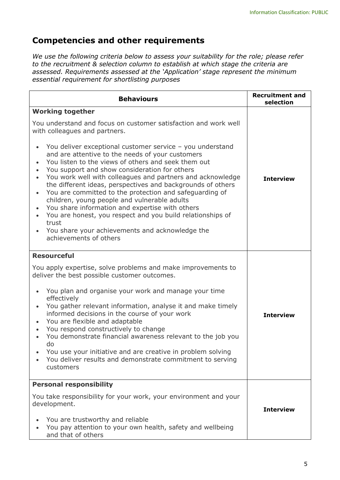# **Competencies and other requirements**

*We use the following criteria below to assess your suitability for the role; please refer to the recruitment & selection column to establish at which stage the criteria are assessed. Requirements assessed at the 'Application' stage represent the minimum essential requirement for shortlisting purposes*

| <b>Behaviours</b>                                                                                                                                                                                                                                                                                                                                                                                                                                                                                                                                                                                                                                                                 | <b>Recruitment and</b><br>selection |
|-----------------------------------------------------------------------------------------------------------------------------------------------------------------------------------------------------------------------------------------------------------------------------------------------------------------------------------------------------------------------------------------------------------------------------------------------------------------------------------------------------------------------------------------------------------------------------------------------------------------------------------------------------------------------------------|-------------------------------------|
| <b>Working together</b>                                                                                                                                                                                                                                                                                                                                                                                                                                                                                                                                                                                                                                                           |                                     |
| You understand and focus on customer satisfaction and work well<br>with colleagues and partners.                                                                                                                                                                                                                                                                                                                                                                                                                                                                                                                                                                                  |                                     |
| You deliver exceptional customer service - you understand<br>and are attentive to the needs of your customers<br>You listen to the views of others and seek them out<br>You support and show consideration for others<br>You work well with colleagues and partners and acknowledge<br>the different ideas, perspectives and backgrounds of others<br>You are committed to the protection and safeguarding of<br>$\bullet$<br>children, young people and vulnerable adults<br>You share information and expertise with others<br>You are honest, you respect and you build relationships of<br>trust<br>You share your achievements and acknowledge the<br>achievements of others | <b>Interview</b>                    |
| <b>Resourceful</b>                                                                                                                                                                                                                                                                                                                                                                                                                                                                                                                                                                                                                                                                |                                     |
| You apply expertise, solve problems and make improvements to<br>deliver the best possible customer outcomes.                                                                                                                                                                                                                                                                                                                                                                                                                                                                                                                                                                      |                                     |
| You plan and organise your work and manage your time<br>effectively<br>You gather relevant information, analyse it and make timely<br>informed decisions in the course of your work<br>You are flexible and adaptable                                                                                                                                                                                                                                                                                                                                                                                                                                                             | <b>Interview</b>                    |
| You respond constructively to change<br>$\bullet$<br>You demonstrate financial awareness relevant to the job you                                                                                                                                                                                                                                                                                                                                                                                                                                                                                                                                                                  |                                     |
| do<br>You use your initiative and are creative in problem solving<br>You deliver results and demonstrate commitment to serving<br>customers                                                                                                                                                                                                                                                                                                                                                                                                                                                                                                                                       |                                     |
| <b>Personal responsibility</b>                                                                                                                                                                                                                                                                                                                                                                                                                                                                                                                                                                                                                                                    | <b>Interview</b>                    |
| You take responsibility for your work, your environment and your<br>development.                                                                                                                                                                                                                                                                                                                                                                                                                                                                                                                                                                                                  |                                     |
| You are trustworthy and reliable<br>You pay attention to your own health, safety and wellbeing<br>and that of others                                                                                                                                                                                                                                                                                                                                                                                                                                                                                                                                                              |                                     |